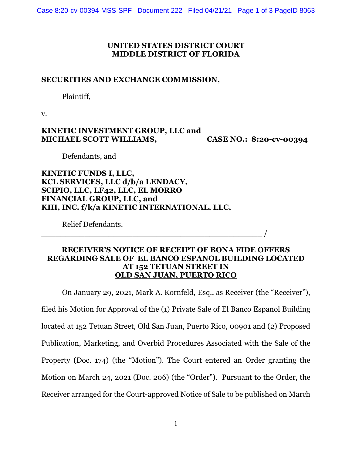### **UNITED STATES DISTRICT COURT MIDDLE DISTRICT OF FLORIDA**

### **SECURITIES AND EXCHANGE COMMISSION,**

Plaintiff,

v.

## **KINETIC INVESTMENT GROUP, LLC and MICHAEL SCOTT WILLIAMS, CASE NO.: 8:20-cv-00394**

Defendants, and

**KINETIC FUNDS I, LLC, KCL SERVICES, LLC d/b/a LENDACY, SCIPIO, LLC, LF42, LLC, EL MORRO FINANCIAL GROUP, LLC, and KIH, INC. f/k/a KINETIC INTERNATIONAL, LLC,** 

\_\_\_\_\_\_\_\_\_\_\_\_\_\_\_\_\_\_\_\_\_\_\_\_\_\_\_\_\_\_\_\_\_\_\_\_\_\_\_\_\_\_\_\_\_\_ /

Relief Defendants.

# **RECEIVER'S NOTICE OF RECEIPT OF BONA FIDE OFFERS REGARDING SALE OF EL BANCO ESPANOL BUILDING LOCATED AT 152 TETUAN STREET IN OLD SAN JUAN, PUERTO RICO**

On January 29, 2021, Mark A. Kornfeld, Esq., as Receiver (the "Receiver"), filed his Motion for Approval of the (1) Private Sale of El Banco Espanol Building located at 152 Tetuan Street, Old San Juan, Puerto Rico, 00901 and (2) Proposed Publication, Marketing, and Overbid Procedures Associated with the Sale of the Property (Doc. 174) (the "Motion"). The Court entered an Order granting the Motion on March 24, 2021 (Doc. 206) (the "Order"). Pursuant to the Order, the Receiver arranged for the Court-approved Notice of Sale to be published on March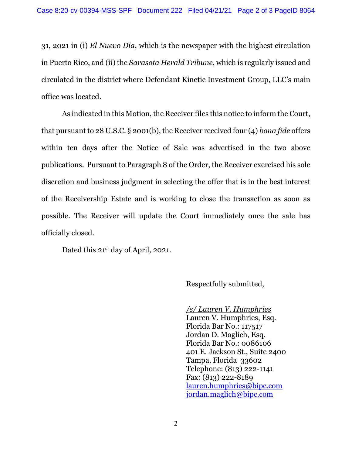31, 2021 in (i) *El Nuevo Dia*, which is the newspaper with the highest circulation in Puerto Rico, and (ii) the *Sarasota Herald Tribune*, which is regularly issued and circulated in the district where Defendant Kinetic Investment Group, LLC's main office was located.

As indicated in this Motion, the Receiver files this notice to inform the Court, that pursuant to 28 U.S.C. § 2001(b), the Receiver received four (4) *bona fide* offers within ten days after the Notice of Sale was advertised in the two above publications. Pursuant to Paragraph 8 of the Order, the Receiver exercised his sole discretion and business judgment in selecting the offer that is in the best interest of the Receivership Estate and is working to close the transaction as soon as possible. The Receiver will update the Court immediately once the sale has officially closed.

Dated this 21<sup>st</sup> day of April, 2021.

Respectfully submitted,

*/s/ Lauren V. Humphries* Lauren V. Humphries, Esq. Florida Bar No.: 117517 Jordan D. Maglich, Esq. Florida Bar No.: 0086106 401 E. Jackson St., Suite 2400 Tampa, Florida 33602 Telephone: (813) 222-1141 Fax: (813) 222-8189 [lauren.humphries@bipc.com](mailto:lauren.humphries@bipc.com) [jordan.maglich@bipc.com](mailto:jordan.maglich@bipc.com)